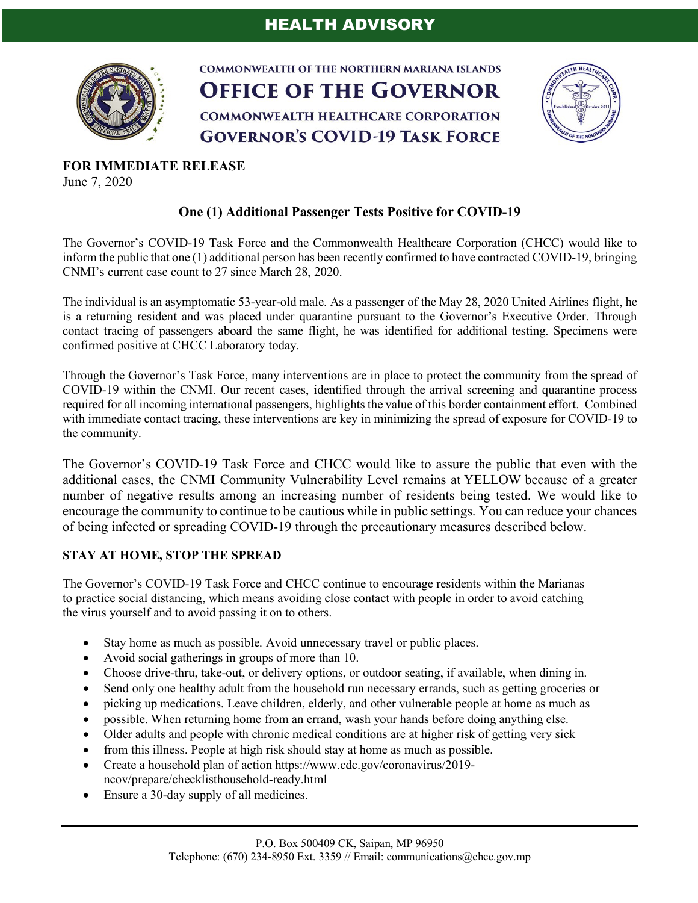

**COMMONWEALTH OF THE NORTHERN MARIANA ISLANDS OFFICE OF THE GOVERNOR COMMONWEALTH HEALTHCARE CORPORATION GOVERNOR'S COVID-19 TASK FORCE** 



**FOR IMMEDIATE RELEASE** June 7, 2020

## **One (1) Additional Passenger Tests Positive for COVID-19**

The Governor's COVID-19 Task Force and the Commonwealth Healthcare Corporation (CHCC) would like to inform the public that one (1) additional person has been recently confirmed to have contracted COVID-19, bringing CNMI's current case count to 27 since March 28, 2020.

The individual is an asymptomatic 53-year-old male. As a passenger of the May 28, 2020 United Airlines flight, he is a returning resident and was placed under quarantine pursuant to the Governor's Executive Order. Through contact tracing of passengers aboard the same flight, he was identified for additional testing. Specimens were confirmed positive at CHCC Laboratory today.

Through the Governor's Task Force, many interventions are in place to protect the community from the spread of COVID-19 within the CNMI. Our recent cases, identified through the arrival screening and quarantine process required for all incoming international passengers, highlights the value of this border containment effort. Combined with immediate contact tracing, these interventions are key in minimizing the spread of exposure for COVID-19 to the community.

The Governor's COVID-19 Task Force and CHCC would like to assure the public that even with the additional cases, the CNMI Community Vulnerability Level remains at YELLOW because of a greater number of negative results among an increasing number of residents being tested. We would like to encourage the community to continue to be cautious while in public settings. You can reduce your chances of being infected or spreading COVID-19 through the precautionary measures described below.

## **STAY AT HOME, STOP THE SPREAD**

The Governor's COVID-19 Task Force and CHCC continue to encourage residents within the Marianas to practice social distancing, which means avoiding close contact with people in order to avoid catching the virus yourself and to avoid passing it on to others.

- Stay home as much as possible. Avoid unnecessary travel or public places.
- Avoid social gatherings in groups of more than 10.
- Choose drive-thru, take-out, or delivery options, or outdoor seating, if available, when dining in.
- Send only one healthy adult from the household run necessary errands, such as getting groceries or
- picking up medications. Leave children, elderly, and other vulnerable people at home as much as
- possible. When returning home from an errand, wash your hands before doing anything else.
- Older adults and people with chronic medical conditions are at higher risk of getting very sick
- from this illness. People at high risk should stay at home as much as possible.
- Create a household plan of action https://www.cdc.gov/coronavirus/2019ncov/prepare/checklisthousehold-ready.html
- Ensure a 30-day supply of all medicines.